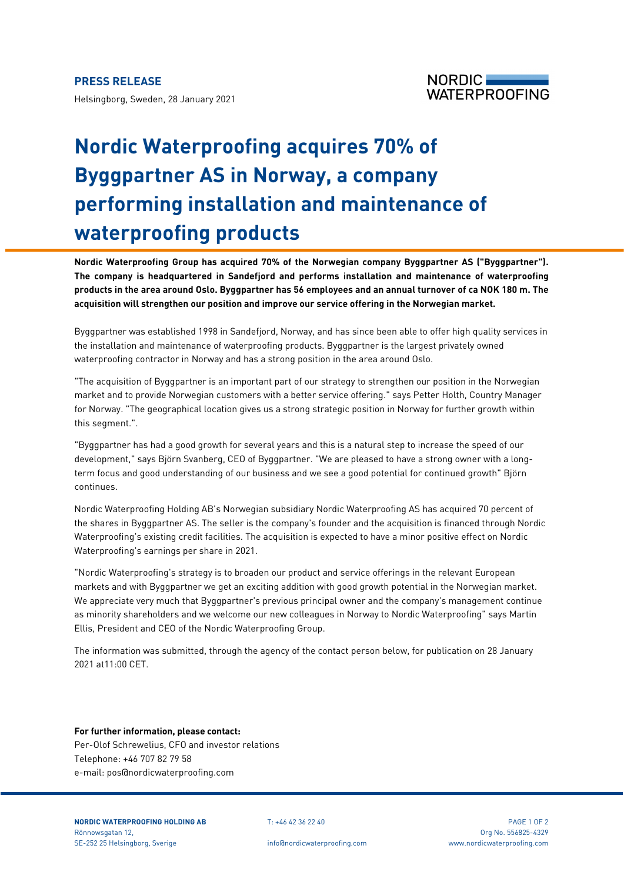Helsingborg, Sweden, 28 January 2021



## **Nordic Waterproofing acquires 70% of Byggpartner AS in Norway, a company performing installation and maintenance of waterproofing products**

**Nordic Waterproofing Group has acquired 70% of the Norwegian company Byggpartner AS ("Byggpartner"). The company is headquartered in Sandefjord and performs installation and maintenance of waterproofing products in the area around Oslo. Byggpartner has 56 employees and an annual turnover of ca NOK 180 m. The acquisition will strengthen our position and improve our service offering in the Norwegian market.**

Byggpartner was established 1998 in Sandefjord, Norway, and has since been able to offer high quality services in the installation and maintenance of waterproofing products. Byggpartner is the largest privately owned waterproofing contractor in Norway and has a strong position in the area around Oslo.

"The acquisition of Byggpartner is an important part of our strategy to strengthen our position in the Norwegian market and to provide Norwegian customers with a better service offering." says Petter Holth, Country Manager for Norway. "The geographical location gives us a strong strategic position in Norway for further growth within this segment.".

"Byggpartner has had a good growth for several years and this is a natural step to increase the speed of our development," says Björn Svanberg, CEO of Byggpartner. "We are pleased to have a strong owner with a longterm focus and good understanding of our business and we see a good potential for continued growth" Björn continues.

Nordic Waterproofing Holding AB's Norwegian subsidiary Nordic Waterproofing AS has acquired 70 percent of the shares in Byggpartner AS. The seller is the company's founder and the acquisition is financed through Nordic Waterproofing's existing credit facilities. The acquisition is expected to have a minor positive effect on Nordic Waterproofing's earnings per share in 2021.

"Nordic Waterproofing's strategy is to broaden our product and service offerings in the relevant European markets and with Byggpartner we get an exciting addition with good growth potential in the Norwegian market. We appreciate very much that Byggpartner's previous principal owner and the company's management continue as minority shareholders and we welcome our new colleagues in Norway to Nordic Waterproofing" says Martin Ellis, President and CEO of the Nordic Waterproofing Group.

The information was submitted, through the agency of the contact person below, for publication on 28 January 2021 at11:00 CET.

## **For further information, please contact:**

Per-Olof Schrewelius, CFO and investor relations Telephone: +46 707 82 79 58 e-mail: pos@nordicwaterproofing.com

**NORDIC WATERPROOFING HOLDING AB** T: +46 42 36 22 40 PAGE 1 OF 2 Rönnowsgatan 12, Org No. 556825-4329 SE-252 25 Helsingborg, Sverige info@nordicwaterproofing.com www.nordicwaterproofing.com